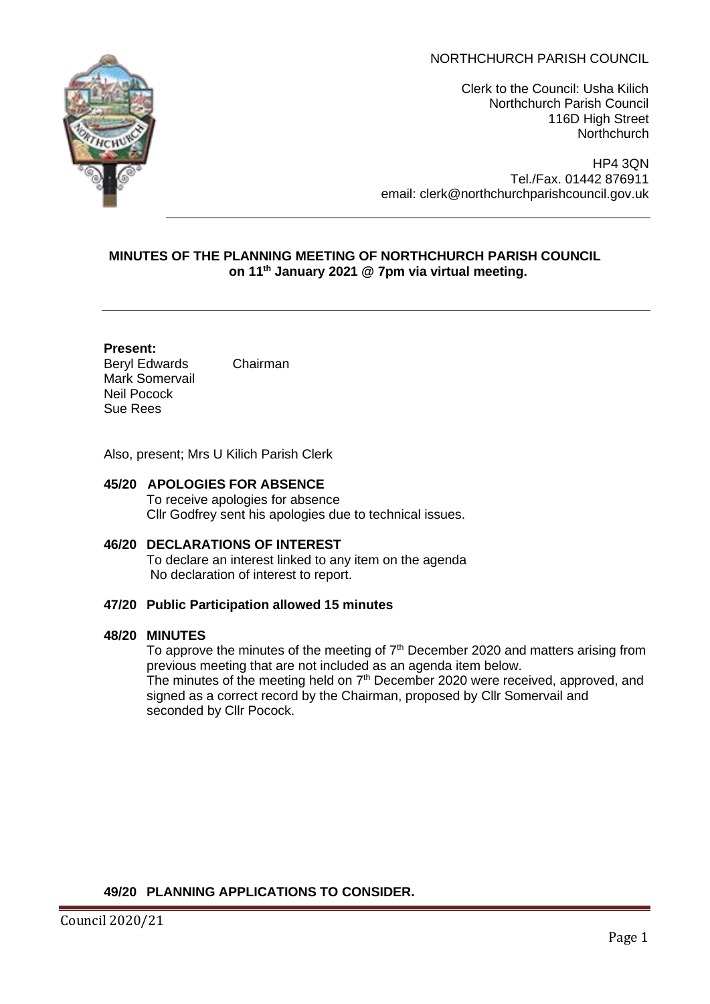# NORTHCHURCH PARISH COUNCIL



Clerk to the Council: Usha Kilich Northchurch Parish Council 116D High Street **Northchurch** 

HP4 3QN Tel./Fax. 01442 876911 email: clerk@northchurchparishcouncil.gov.uk

## **MINUTES OF THE PLANNING MEETING OF NORTHCHURCH PARISH COUNCIL on 11th January 2021 @ 7pm via virtual meeting.**

#### **Present:**

Beryl Edwards Chairman Mark Somervail Neil Pocock Sue Rees

Also, present; Mrs U Kilich Parish Clerk

- **45/20 APOLOGIES FOR ABSENCE** To receive apologies for absence Cllr Godfrey sent his apologies due to technical issues.
- **46/20 DECLARATIONS OF INTEREST**  To declare an interest linked to any item on the agenda No declaration of interest to report.

### **47/20 Public Participation allowed 15 minutes**

### **48/20 MINUTES**

To approve the minutes of the meeting of  $7<sup>th</sup>$  December 2020 and matters arising from previous meeting that are not included as an agenda item below. The minutes of the meeting held on  $7<sup>th</sup>$  December 2020 were received, approved, and signed as a correct record by the Chairman, proposed by Cllr Somervail and seconded by Cllr Pocock.

### **49/20 PLANNING APPLICATIONS TO CONSIDER.**